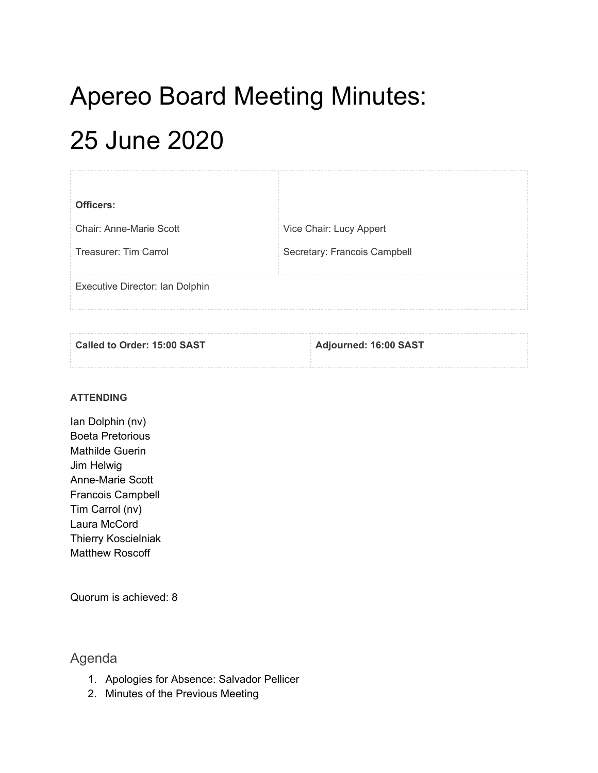# Apereo Board Meeting Minutes: 25 June 2020

| Officers:                       |                              |
|---------------------------------|------------------------------|
| Chair: Anne-Marie Scott         | Vice Chair: Lucy Appert      |
| Treasurer: Tim Carrol           | Secretary: Francois Campbell |
| Executive Director: Ian Dolphin |                              |

| Called to Order: 15:00 SAST | Adjourned: 16:00 SAST |
|-----------------------------|-----------------------|
|                             |                       |

### **ATTENDING**

Ian Dolphin (nv) Boeta Pretorious Mathilde Guerin Jim Helwig Anne-Marie Scott Francois Campbell Tim Carrol (nv) Laura McCord Thierry Koscielniak Matthew Roscoff

Quorum is achieved: 8

# Agenda

- 1. Apologies for Absence: Salvador Pellicer
- 2. Minutes of the Previous Meeting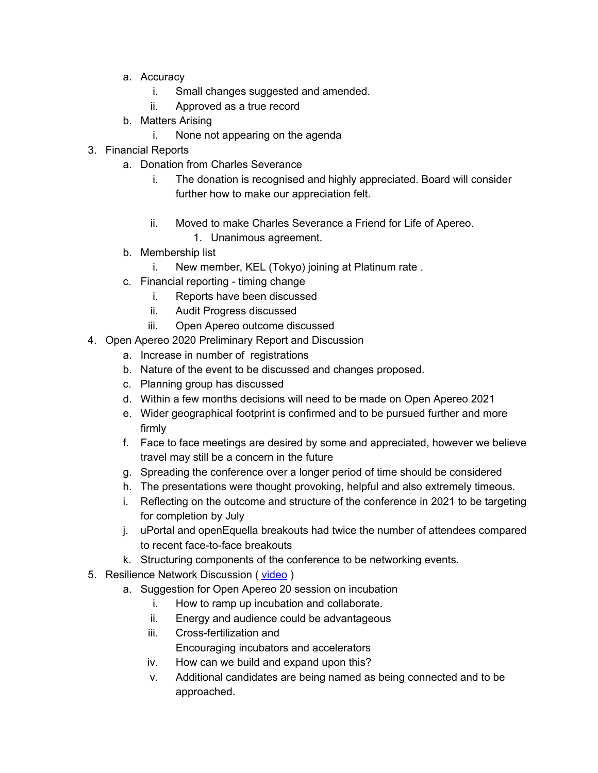- a. Accuracy
	- i. Small changes suggested and amended.
	- ii. Approved as a true record
- b. Matters Arising
	- i. None not appearing on the agenda
- 3. Financial Reports
	- a. Donation from Charles Severance
		- i. The donation is recognised and highly appreciated. Board will consider further how to make our appreciation felt.
		- ii. Moved to make Charles Severance a Friend for Life of Apereo.
			- 1. Unanimous agreement.
	- b. Membership list
		- i. New member, KEL (Tokyo) joining at Platinum rate .
	- c. Financial reporting timing change
		- i. Reports have been discussed
		- ii. Audit Progress discussed
		- iii. Open Apereo outcome discussed
- 4. Open Apereo 2020 Preliminary Report and Discussion
	- a. Increase in number of registrations
	- b. Nature of the event to be discussed and changes proposed.
	- c. Planning group has discussed
	- d. Within a few months decisions will need to be made on Open Apereo 2021
	- e. Wider geographical footprint is confirmed and to be pursued further and more firmly
	- f. Face to face meetings are desired by some and appreciated, however we believe travel may still be a concern in the future
	- g. Spreading the conference over a longer period of time should be considered
	- h. The presentations were thought provoking, helpful and also extremely timeous.
	- i. Reflecting on the outcome and structure of the conference in 2021 to be targeting for completion by July
	- j. uPortal and openEquella breakouts had twice the number of attendees compared to recent face-to-face breakouts
	- k. Structuring components of the conference to be networking events.
- 5. Resilience Network Discussion ([video](https://eliterate.us/resiliencenetwork-discussion-prompt-video/))
	- a. Suggestion for Open Apereo 20 session on incubation
		- i. How to ramp up incubation and collaborate.
		- ii. Energy and audience could be advantageous
		- iii. Cross-fertilization and

Encouraging incubators and accelerators

- iv. How can we build and expand upon this?
- v. Additional candidates are being named as being connected and to be approached.